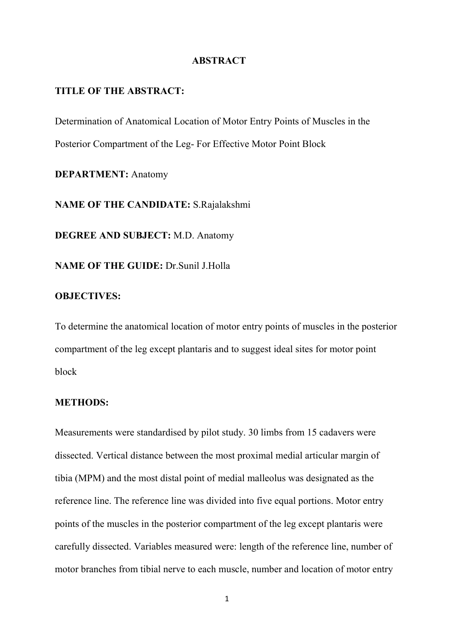#### **ABSTRACT**

# **TITLE OF THE ABSTRACT:**

Determination of Anatomical Location of Motor Entry Points of Muscles in the Posterior Compartment of the Leg- For Effective Motor Point Block

**DEPARTMENT:** Anatomy

**NAME OF THE CANDIDATE:** S.Rajalakshmi

**DEGREE AND SUBJECT:** M.D. Anatomy

**NAME OF THE GUIDE:** Dr.Sunil J.Holla

# **OBJECTIVES:**

To determine the anatomical location of motor entry points of muscles in the posterior compartment of the leg except plantaris and to suggest ideal sites for motor point block

#### **METHODS:**

Measurements were standardised by pilot study. 30 limbs from 15 cadavers were dissected. Vertical distance between the most proximal medial articular margin of tibia (MPM) and the most distal point of medial malleolus was designated as the reference line. The reference line was divided into five equal portions. Motor entry points of the muscles in the posterior compartment of the leg except plantaris were carefully dissected. Variables measured were: length of the reference line, number of motor branches from tibial nerve to each muscle, number and location of motor entry

1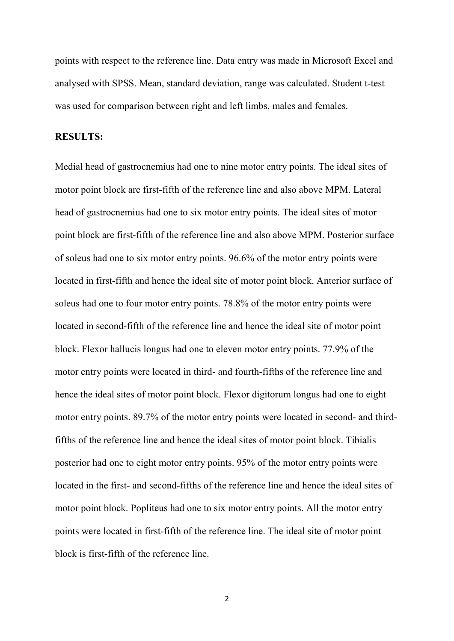points with respect to the reference line. Data entry was made in Microsoft Excel and analysed with SPSS. Mean, standard deviation, range was calculated. Student t-test was used for comparison between right and left limbs, males and females.

### **RESULTS:**

Medial head of gastrocnemius had one to nine motor entry points. The ideal sites of motor point block are first-fifth of the reference line and also above MPM. Lateral head of gastrocnemius had one to six motor entry points. The ideal sites of motor point block are first-fifth of the reference line and also above MPM. Posterior surface of soleus had one to six motor entry points. 96.6% of the motor entry points were located in first-fifth and hence the ideal site of motor point block. Anterior surface of soleus had one to four motor entry points. 78.8% of the motor entry points were located in second-fifth of the reference line and hence the ideal site of motor point block. Flexor hallucis longus had one to eleven motor entry points. 77.9% of the motor entry points were located in third- and fourth-fifths of the reference line and hence the ideal sites of motor point block. Flexor digitorum longus had one to eight motor entry points. 89.7% of the motor entry points were located in second- and thirdfifths of the reference line and hence the ideal sites of motor point block. Tibialis posterior had one to eight motor entry points. 95% of the motor entry points were located in the first- and second-fifths of the reference line and hence the ideal sites of motor point block. Popliteus had one to six motor entry points. All the motor entry points were located in first-fifth of the reference line. The ideal site of motor point block is first-fifth of the reference line.

2